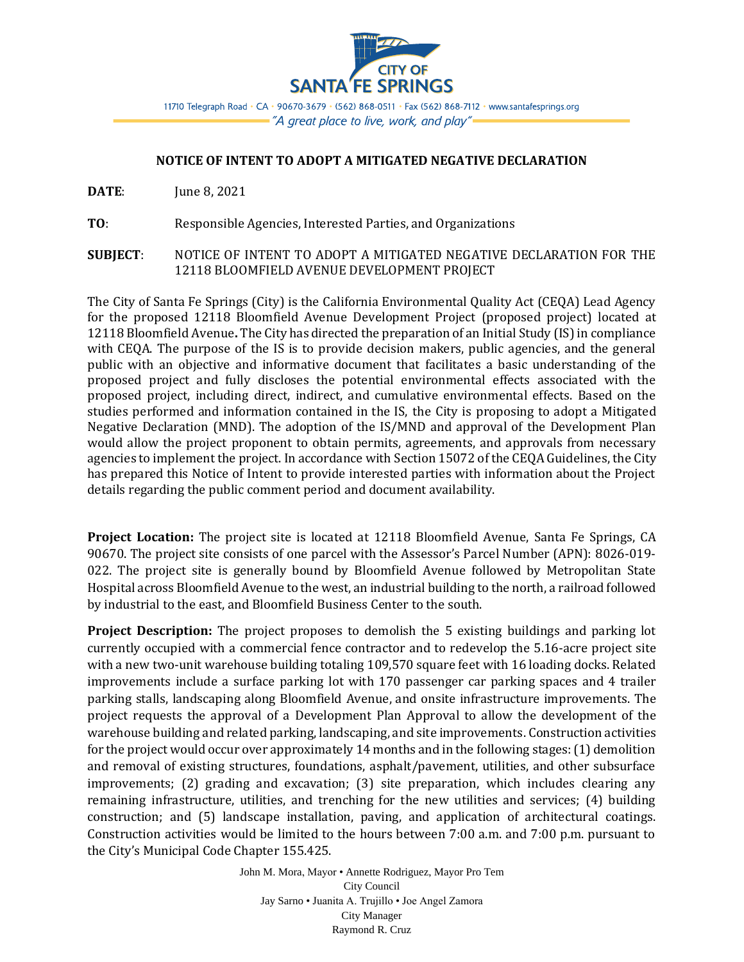

11710 Telegraph Road • CA • 90670-3679 • (562) 868-0511 • Fax (562) 868-7112 • www.santafesprings.org - "A great place to live, work, and play" -

## **NOTICE OF INTENT TO ADOPT A MITIGATED NEGATIVE DECLARATION**

**DATE:** June 8, 2021

**TO**: Responsible Agencies, Interested Parties, and Organizations

**SUBJECT**: NOTICE OF INTENT TO ADOPT A MITIGATED NEGATIVE DECLARATION FOR THE 12118 BLOOMFIELD AVENUE DEVELOPMENT PROJECT

The City of Santa Fe Springs (City) is the California Environmental Quality Act (CEQA) Lead Agency for the proposed 12118 Bloomfield Avenue Development Project (proposed project) located at 12118 Bloomfield Avenue**.** The City has directed the preparation of an Initial Study (IS) in compliance with CEQA. The purpose of the IS is to provide decision makers, public agencies, and the general public with an objective and informative document that facilitates a basic understanding of the proposed project and fully discloses the potential environmental effects associated with the proposed project, including direct, indirect, and cumulative environmental effects. Based on the studies performed and information contained in the IS, the City is proposing to adopt a Mitigated Negative Declaration (MND). The adoption of the IS/MND and approval of the Development Plan would allow the project proponent to obtain permits, agreements, and approvals from necessary agencies to implement the project. In accordance with Section 15072 of the CEQA Guidelines, the City has prepared this Notice of Intent to provide interested parties with information about the Project details regarding the public comment period and document availability.

**Project Location:** The project site is located at 12118 Bloomfield Avenue, Santa Fe Springs, CA 90670. The project site consists of one parcel with the Assessor's Parcel Number (APN): 8026-019- 022. The project site is generally bound by Bloomfield Avenue followed by Metropolitan State Hospital across Bloomfield Avenue to the west, an industrial building to the north, a railroad followed by industrial to the east, and Bloomfield Business Center to the south.

**Project Description:** The project proposes to demolish the 5 existing buildings and parking lot currently occupied with a commercial fence contractor and to redevelop the 5.16-acre project site with a new two-unit warehouse building totaling 109,570 square feet with 16 loading docks. Related improvements include a surface parking lot with 170 passenger car parking spaces and 4 trailer parking stalls, landscaping along Bloomfield Avenue, and onsite infrastructure improvements. The project requests the approval of a Development Plan Approval to allow the development of the warehouse building and related parking, landscaping, and site improvements. Construction activities for the project would occur over approximately 14 months and in the following stages: (1) demolition and removal of existing structures, foundations, asphalt/pavement, utilities, and other subsurface improvements; (2) grading and excavation; (3) site preparation, which includes clearing any remaining infrastructure, utilities, and trenching for the new utilities and services; (4) building construction; and (5) landscape installation, paving, and application of architectural coatings. Construction activities would be limited to the hours between 7:00 a.m. and 7:00 p.m. pursuant to the City's Municipal Code Chapter 155.425.

> John M. Mora, Mayor • Annette Rodriguez, Mayor Pro Tem City Council Jay Sarno • Juanita A. Trujillo • Joe Angel Zamora City Manager Raymond R. Cruz